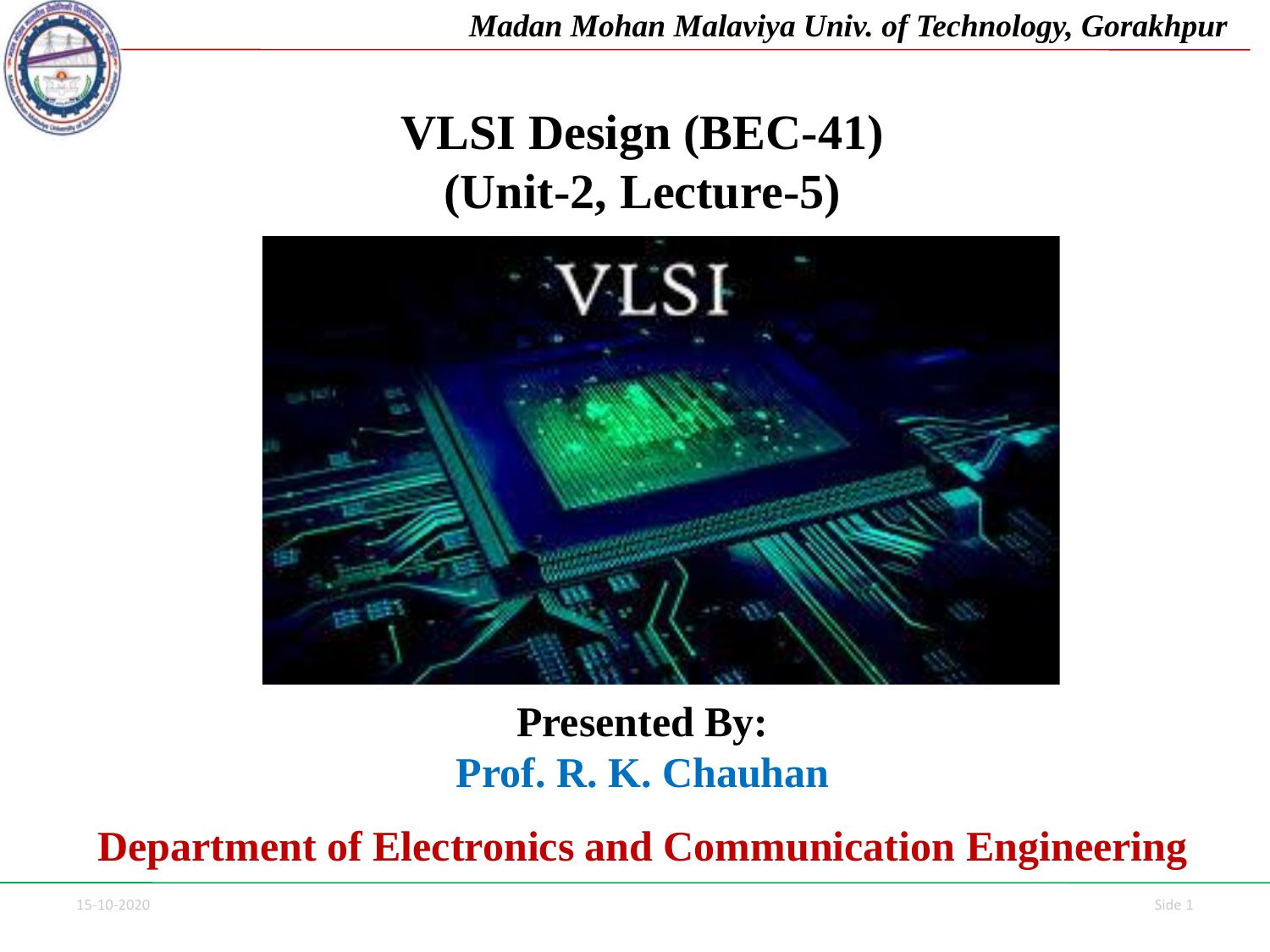

*Madan Mohan Malaviya Univ. of Technology, Gorakhpur*

# **VLSI Design (BEC-41) (Unit-2, Lecture-5)**



#### **Presented By: Prof. R. K. Chauhan**

**Department of Electronics and Communication Engineering**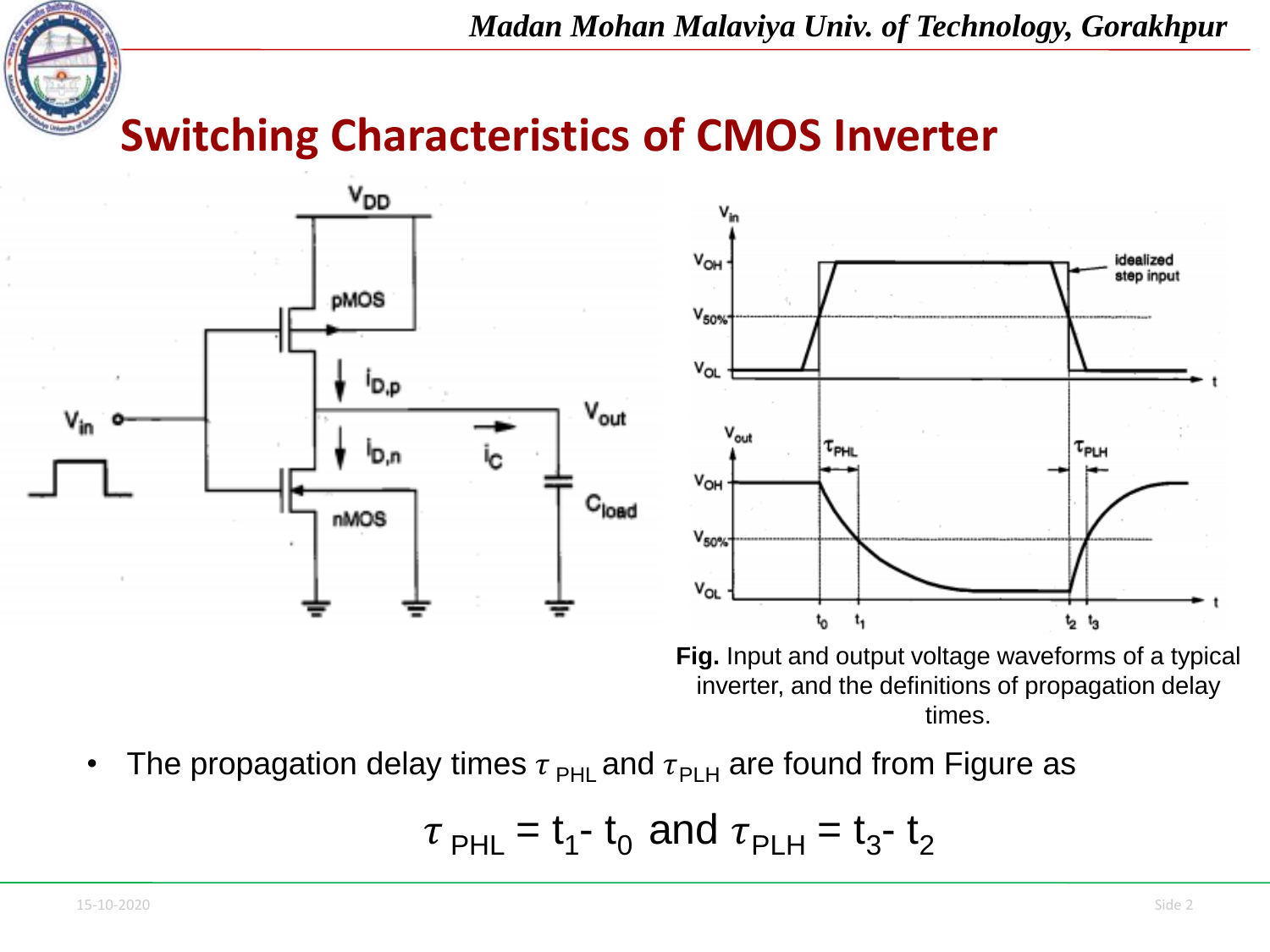

*Madan Mohan Malaviya Univ. of Technology, Gorakhpur*

**Switching Characteristics of CMOS Inverter**



The propagation delay times  $\tau_{PHL}$  and  $\tau_{PLH}$  are found from Figure as

$$
\tau_{\text{PHL}} = t_1 - t_0
$$
 and  $\tau_{\text{PLH}} = t_3 - t_2$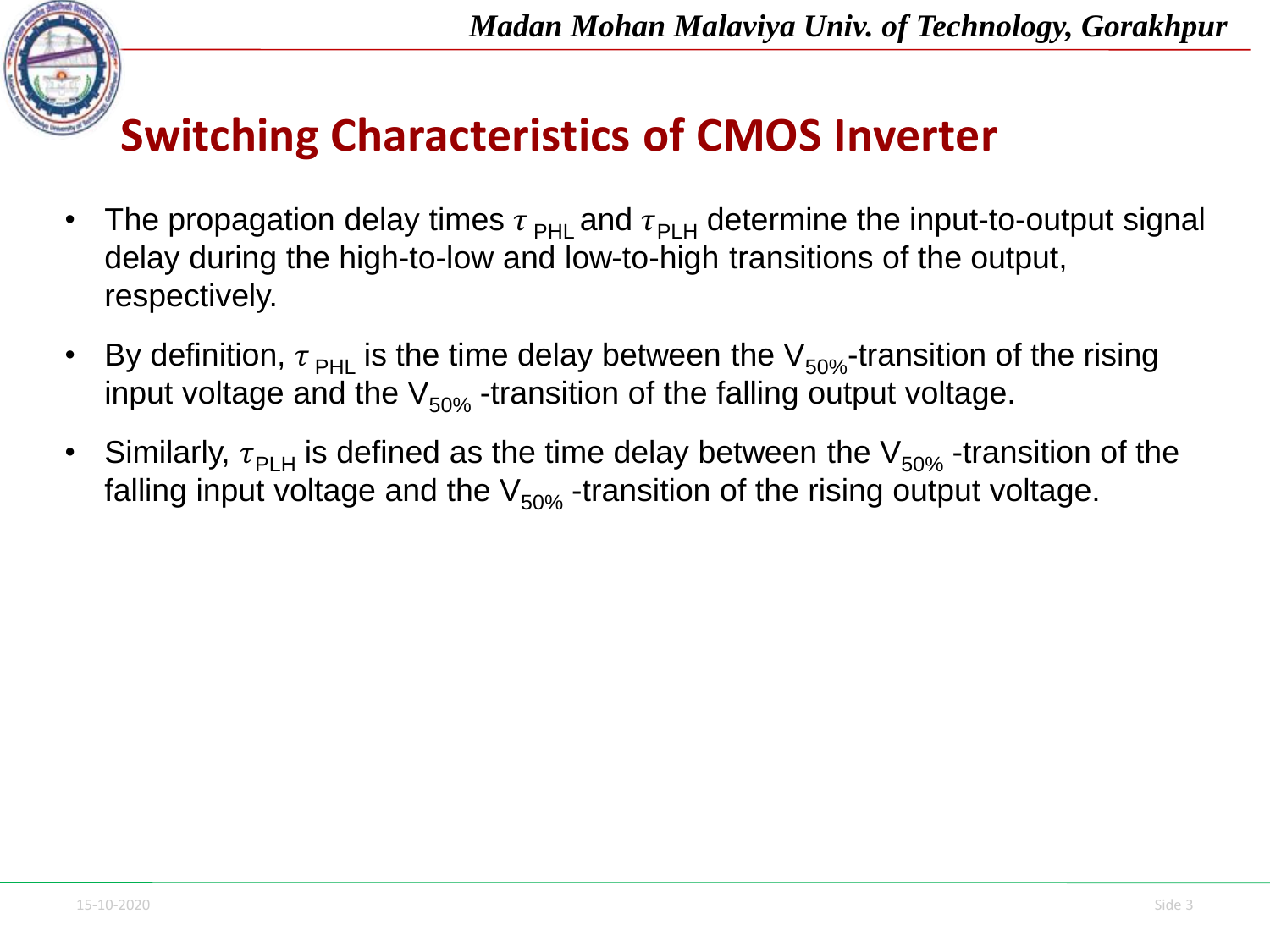

# **Switching Characteristics of CMOS Inverter**

- The propagation delay times  $\tau_{PHL}$  and  $\tau_{PLH}$  determine the input-to-output signal delay during the high-to-low and low-to-high transitions of the output, respectively.
- By definition,  $\tau_{\text{PHL}}$  is the time delay between the  $V_{50\%}$ -transition of the rising input voltage and the  $V_{50\%}$  -transition of the falling output voltage.
- Similarly,  $\tau_{\rm PLH}$  is defined as the time delay between the  $\rm V_{50\%}$  -transition of the falling input voltage and the  $V_{50\%}$  -transition of the rising output voltage.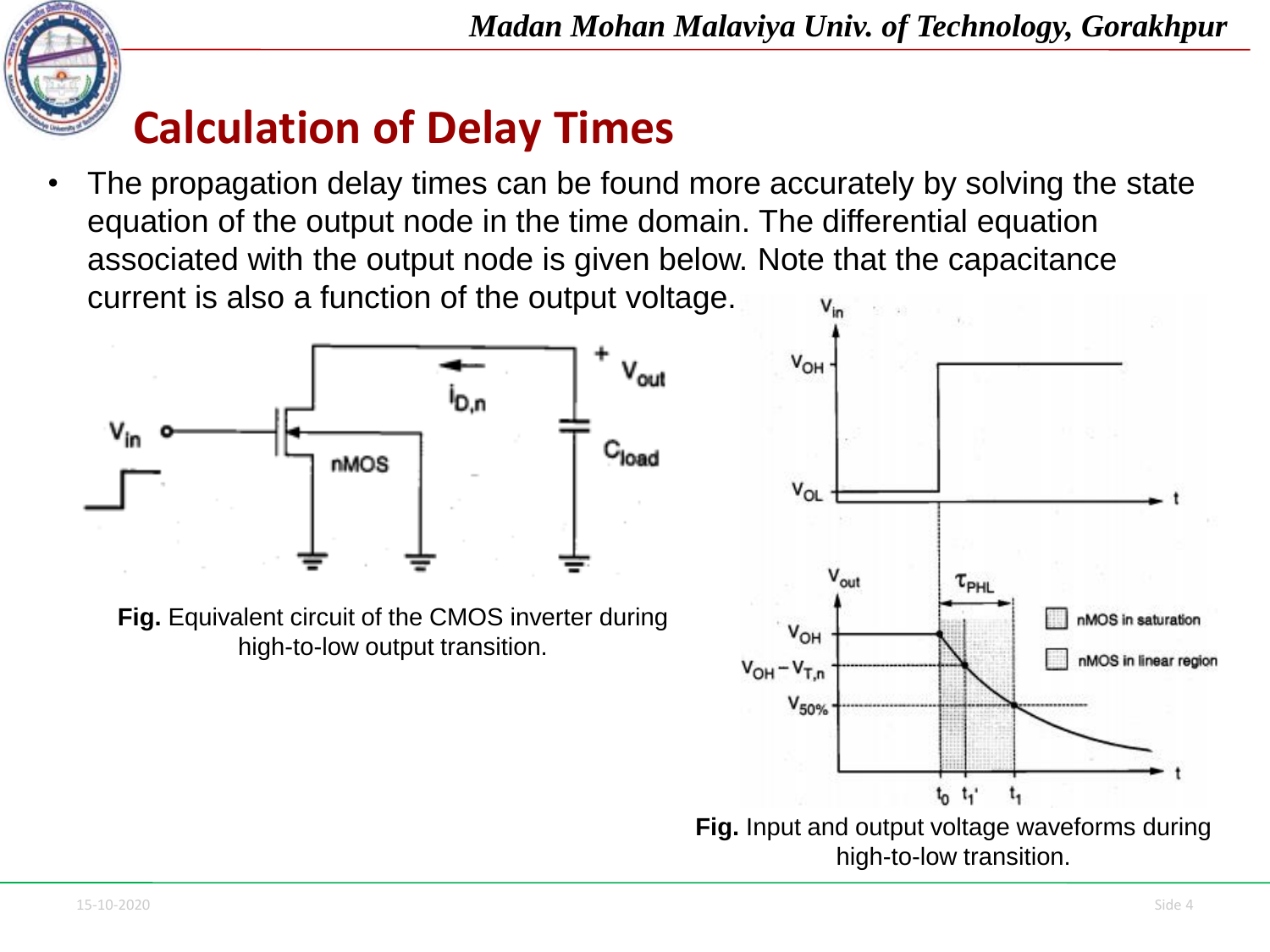

The propagation delay times can be found more accurately by solving the state equation of the output node in the time domain. The differential equation associated with the output node is given below. Note that the capacitance current is also a function of the output voltage.



**Fig.** Equivalent circuit of the CMOS inverter during high-to-low output transition.

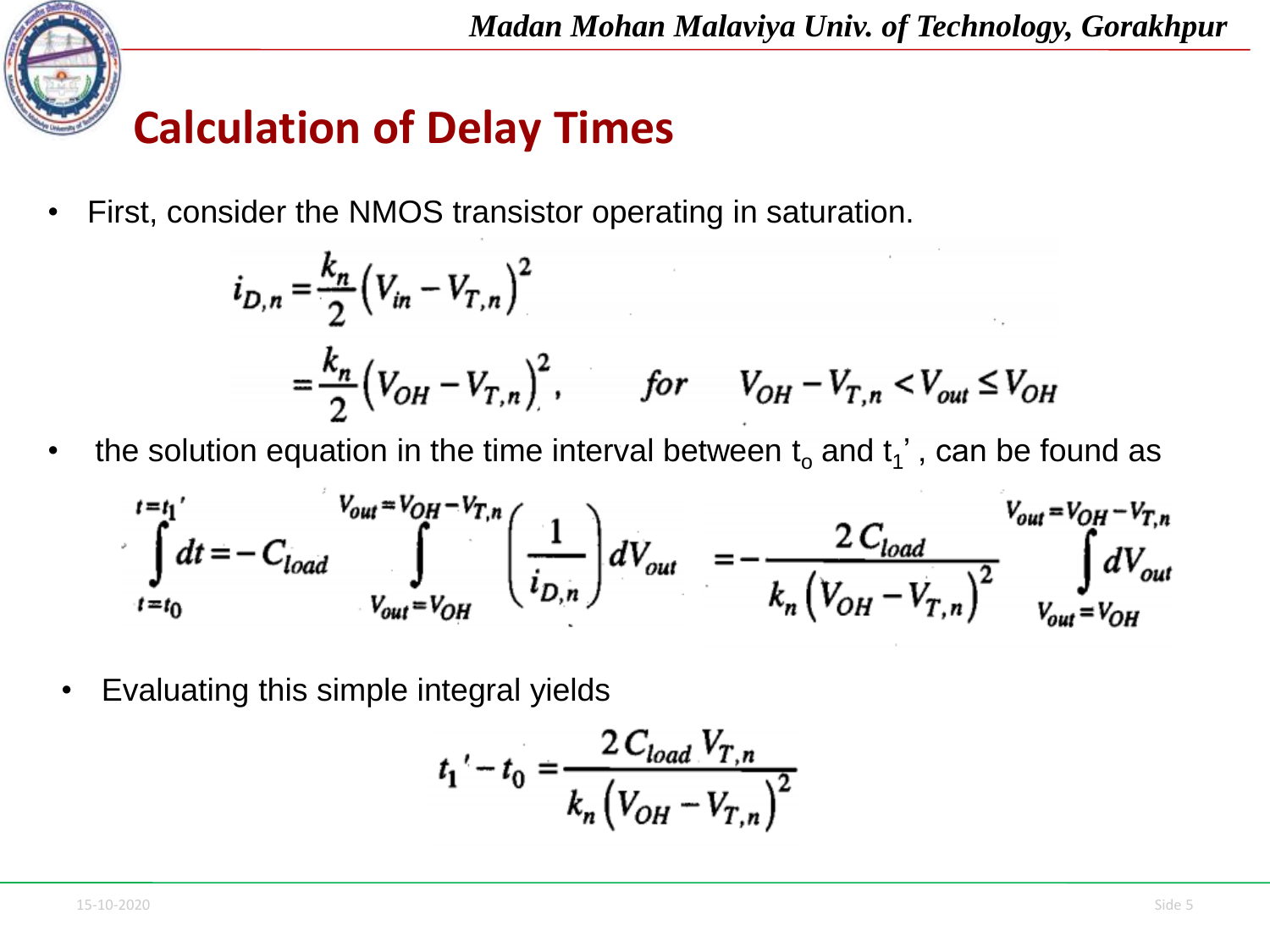

• First, consider the NMOS transistor operating in saturation.

$$
i_{D,n} = \frac{k_n}{2} (V_{in} - V_{T,n})^2
$$
  
=  $\frac{k_n}{2} (V_{OH} - V_{T,n})^2$ , for  $V_{OH} - V_{T,n} < V_{out} \le V_{OH}$ 

• the solution equation in the time interval between  $t_0$  and  $t_1$ ', can be found as

$$
\int_{t=t_0}^{t=t_1} dt = -C_{load} \int_{V_{out}=V_{OH}}^{V_{out}=V_{OH}-V_{T,n}} \left(\frac{1}{i_{D,n}}\right) dV_{out} = -\frac{2 C_{load}}{k_n \left(V_{OH}-V_{T,n}\right)^2} \int_{V_{out}=V_{OH}}^{V_{out}=V_{OH}-V_{T,n}}
$$

• Evaluating this simple integral yields

$$
t_1' - t_0 = \frac{2\,C_{load}\,V_{T,n}}{k_n\left(V_{OH} - V_{T,n}\right)^2}
$$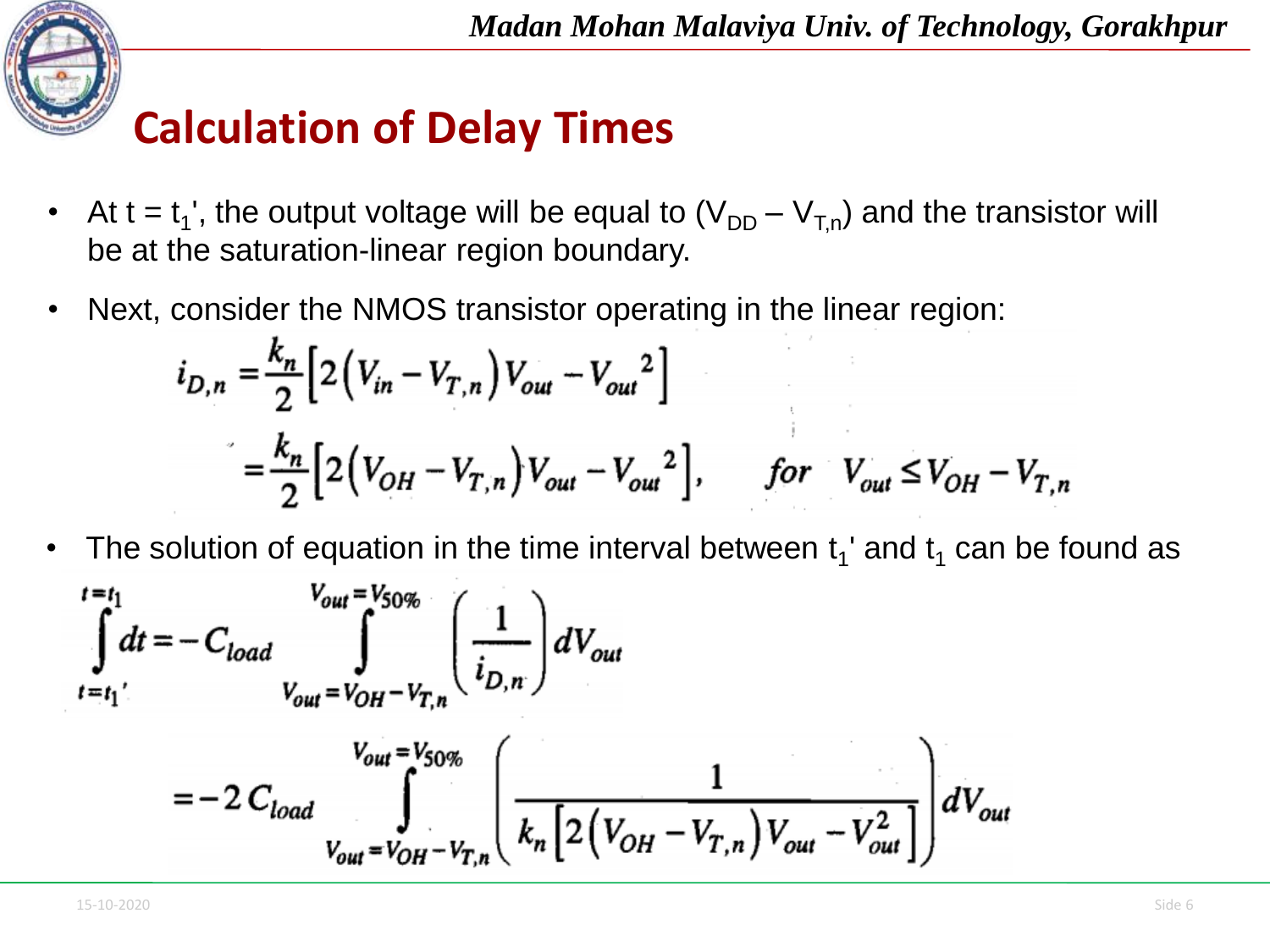

- At t =  $t_1$ ', the output voltage will be equal to  $(V_{DD} V_{T,n})$  and the transistor will be at the saturation-linear region boundary.
- Next, consider the NMOS transistor operating in the linear region:

$$
i_{D,n} = \frac{k_n}{2} \Big[ 2 \Big( V_{in} - V_{T,n} \Big) V_{out} - V_{out}^2 \Big]
$$
  
=  $\frac{k_n}{2} \Big[ 2 \Big( V_{OH} - V_{T,n} \Big) V_{out} - V_{out}^2 \Big],$  for  $V_{out} \le V_{OH} - V_{T,n}$ 

• The solution of equation in the time interval between  $t_1$ ' and  $t_1$  can be found as

$$
\int_{t=t_1}^{t=t_1} dt = -C_{load} \int_{V_{out} = V_{OH} - V_{T,n}}^{V_{out} = V_{SO\%}} \left( \frac{1}{i_{D,n}} \right) dV_{out}
$$
  
= -2 C<sub>load</sub> 
$$
\int_{V_{out} = V_{OH} - V_{T,n}}^{V_{out} = V_{SO\%}} \left( \frac{1}{k_n \left[ 2 \left( V_{OH} - V_{T,n} \right) V_{out} - V_{out}^2 \right]} \right) dV_{out}
$$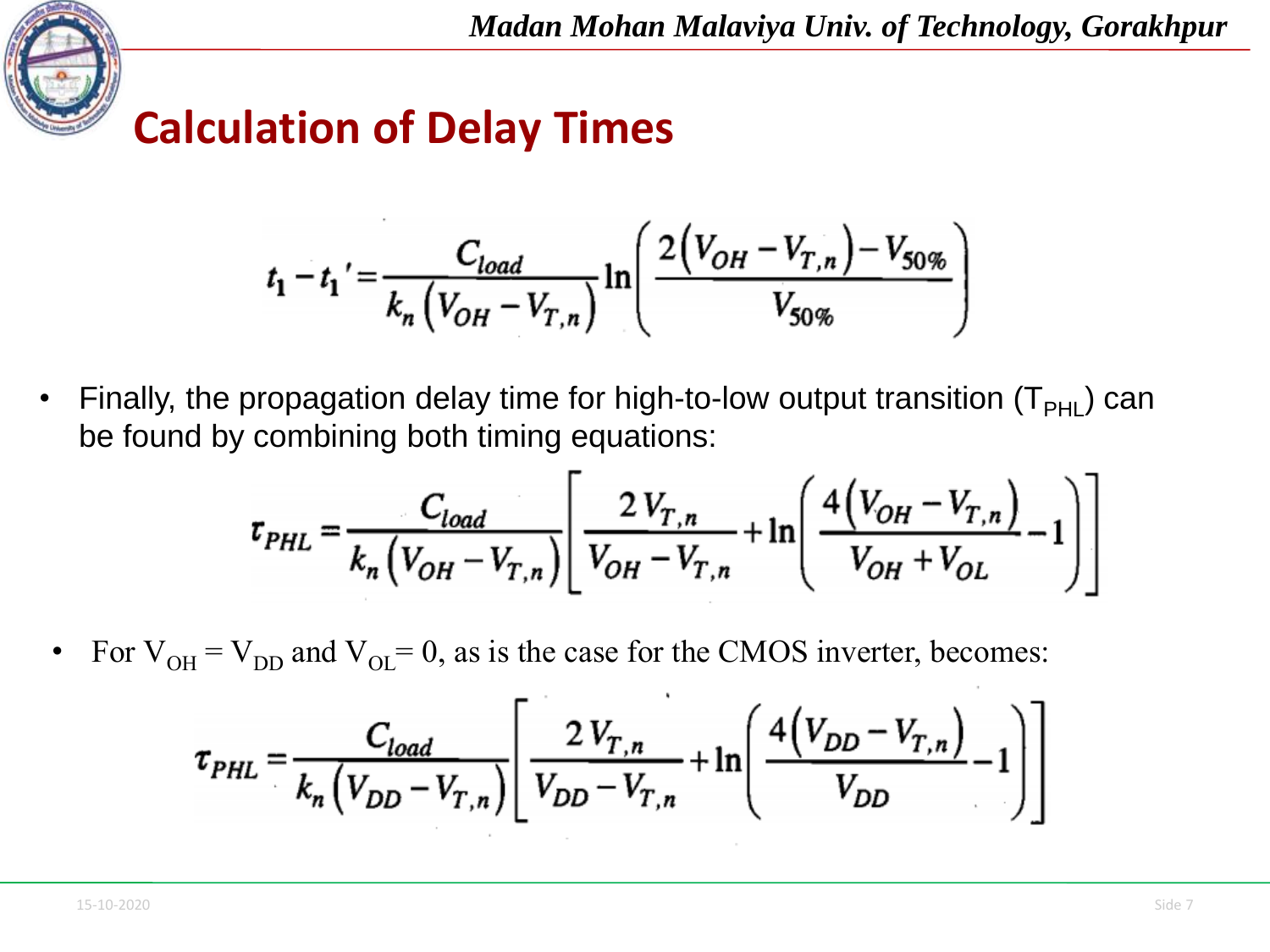

$$
t_1 - t_1' = \frac{C_{load}}{k_n \left(V_{OH} - V_{T,n}\right)} \ln\left(\frac{2\left(V_{OH} - V_{T,n}\right) - V_{50\%}}{V_{50\%}}\right)
$$

• Finally, the propagation delay time for high-to-low output transition  $(T_{PHI})$  can be found by combining both timing equations:

$$
\tau_{PHL} = \frac{C_{load}}{k_n \left( V_{OH} - V_{T,n} \right)} \left[ \frac{2 V_{T,n}}{V_{OH} - V_{T,n}} + \ln \left( \frac{4 \left( V_{OH} - V_{T,n} \right)}{V_{OH} + V_{OL}} - 1 \right) \right]
$$

For  $V_{OH} = V_{DD}$  and  $V_{OL} = 0$ , as is the case for the CMOS inverter, becomes:

$$
\tau_{PHL} = \frac{C_{load}}{k_n \left(V_{DD} - V_{T,n}\right)} \left[ \frac{2 V_{T,n}}{V_{DD} - V_{T,n}} + \ln \left( \frac{4 \left(V_{DD} - V_{T,n}\right)}{V_{DD}} - 1 \right) \right]
$$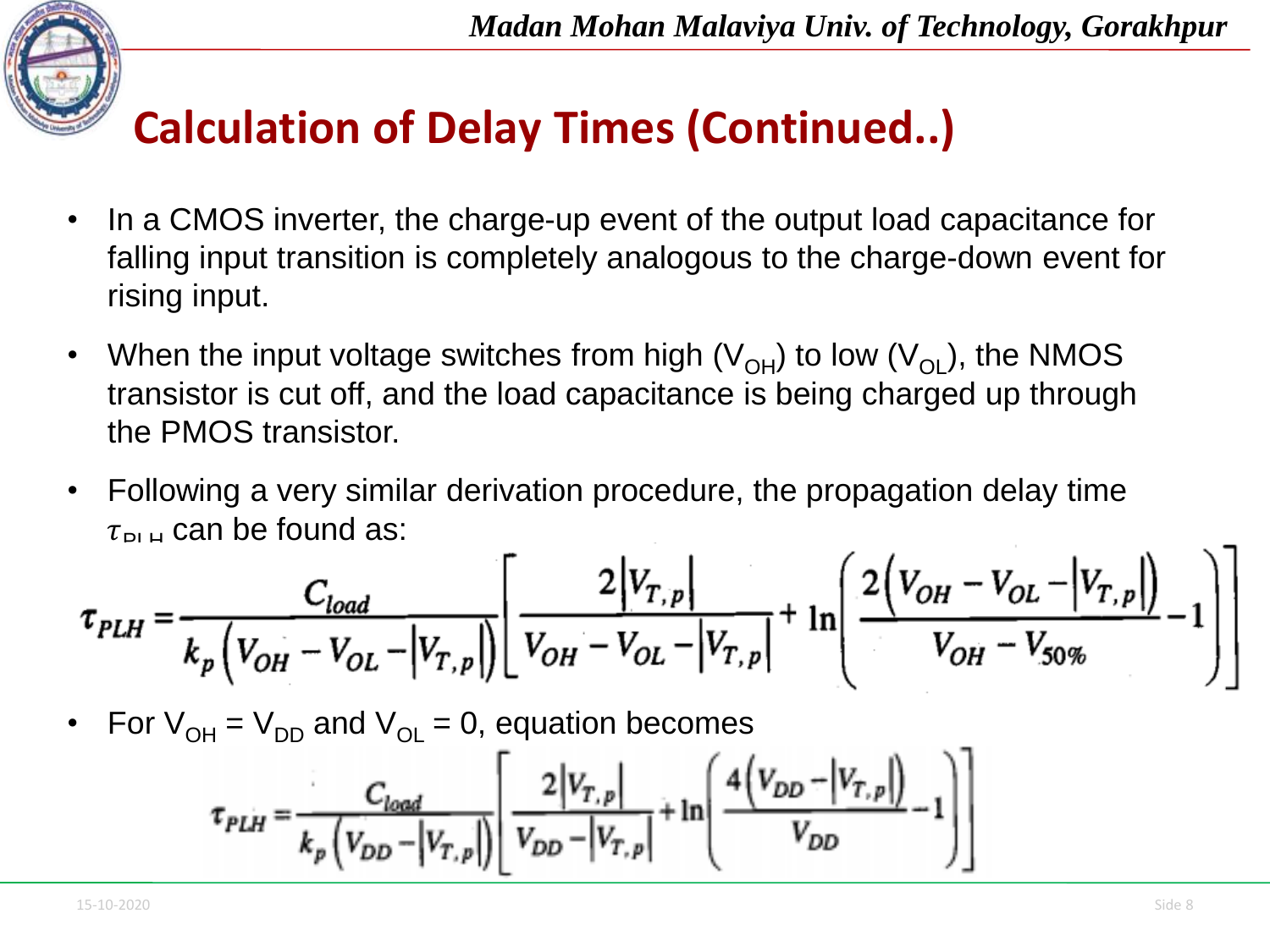

# **Calculation of Delay Times (Continued..)**

- In a CMOS inverter, the charge-up event of the output load capacitance for falling input transition is completely analogous to the charge-down event for rising input.
- When the input voltage switches from high  $(V_{OH})$  to low  $(V_{OL})$ , the NMOS transistor is cut off, and the load capacitance is being charged up through the PMOS transistor.
- Following a very similar derivation procedure, the propagation delay time  $\tau_{\text{Pl H}}$  can be found as:

$$
\tau_{PLH} = \frac{C_{load}}{k_p \left( V_{OH} - V_{OL} - \left| V_{T,p} \right| \right)} \left[ \frac{2 \left| V_{T,p} \right|}{V_{OH} - V_{OL} - \left| V_{T,p} \right|} + \ln \left( \frac{2 \left( V_{OH} - V_{OL} - \left| V_{T,p} \right| \right)}{V_{OH} - V_{50\%}} - 1 \right) \right]
$$

For  $V_{OH} = V_{DD}$  and  $V_{OH} = 0$ , equation becomes

$$
\tau_{PLH} = \frac{C_{load}}{k_p \left( V_{DD} - \left| V_{T,p} \right| \right)} \left[ \frac{2 \left| V_{T,p} \right|}{V_{DD} - \left| V_{T,p} \right|} + \ln \left( \frac{4 \left( V_{DD} - \left| V_{T,p} \right| \right)}{V_{DD}} - 1 \right) \right]
$$